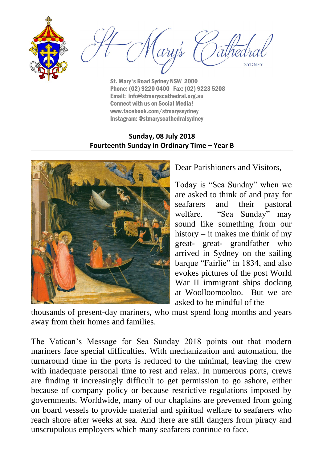

ary's SYDNEY

St. Mary's Road Sydney NSW 2000 Phone: (02) 9220 0400 Fax: (02) 9223 5208 Email: info@stmaryscathedral.org.au Connect with us on Social Media! www.facebook.com/stmaryssydney Instagram: @stmaryscathedralsydney

### **Sunday, 08 July 2018 Fourteenth Sunday in Ordinary Time – Year B**



Dear Parishioners and Visitors,

Today is "Sea Sunday" when we are asked to think of and pray for seafarers and their pastoral welfare. "Sea Sunday" may sound like something from our history – it makes me think of my great- great- grandfather who arrived in Sydney on the sailing barque "Fairlie" in 1834, and also evokes pictures of the post World War II immigrant ships docking at Woolloomooloo. But we are asked to be mindful of the

thousands of present-day mariners, who must spend long months and years away from their homes and families.

The Vatican's Message for Sea Sunday 2018 points out that modern mariners face special difficulties. With mechanization and automation, the turnaround time in the ports is reduced to the minimal, leaving the crew with inadequate personal time to rest and relax. In numerous ports, crews are finding it increasingly difficult to get permission to go ashore, either because of company policy or because restrictive regulations imposed by governments. Worldwide, many of our chaplains are prevented from going on board vessels to provide material and spiritual welfare to seafarers who reach shore after weeks at sea. And there are still dangers from piracy and unscrupulous employers which many seafarers continue to face.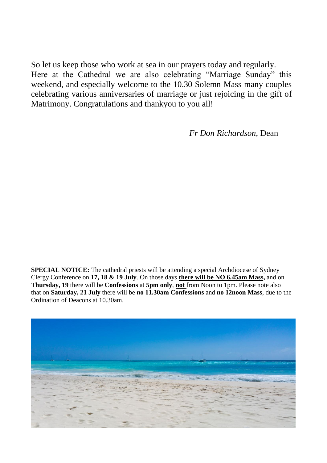So let us keep those who work at sea in our prayers today and regularly. Here at the Cathedral we are also celebrating "Marriage Sunday" this weekend, and especially welcome to the 10.30 Solemn Mass many couples celebrating various anniversaries of marriage or just rejoicing in the gift of Matrimony. Congratulations and thankyou to you all!

*Fr Don Richardson,* Dean

**SPECIAL NOTICE:** The cathedral priests will be attending a special Archdiocese of Sydney Clergy Conference on **17, 18 & 19 July**. On those days **there will be NO 6.45am Mass,** and on **Thursday, 19** there will be **Confessions** at **5pm only**, **not** from Noon to 1pm. Please note also that on **Saturday, 21 July** there will be **no 11.30am Confessions** and **no 12noon Mass**, due to the Ordination of Deacons at 10.30am.

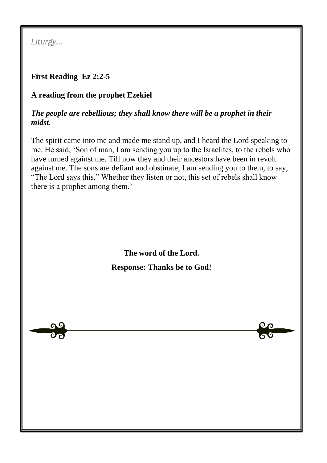*Liturgy…*

## **First Reading Ez 2:2-5**

## **A reading from the prophet Ezekiel**

### *The people are rebellious; they shall know there will be a prophet in their midst.*

The spirit came into me and made me stand up, and I heard the Lord speaking to me. He said, 'Son of man, I am sending you up to the Israelites, to the rebels who have turned against me. Till now they and their ancestors have been in revolt against me. The sons are defiant and obstinate; I am sending you to them, to say, "The Lord says this." Whether they listen or not, this set of rebels shall know there is a prophet among them.'

> **The word of the Lord. Response: Thanks be to God!**

> > OΩ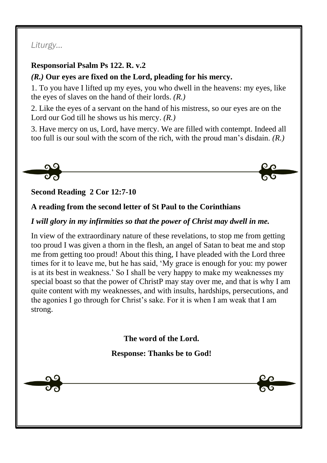## *Liturgy…*

### **Responsorial Psalm Ps 122. R. v.2**

### *(R.)* **Our eyes are fixed on the Lord, pleading for his mercy.**

1. To you have I lifted up my eyes, you who dwell in the heavens: my eyes, like the eyes of slaves on the hand of their lords. *(R.)*

2. Like the eyes of a servant on the hand of his mistress, so our eyes are on the Lord our God till he shows us his mercy. *(R.)*

3. Have mercy on us, Lord, have mercy. We are filled with contempt. Indeed all too full is our soul with the scorn of the rich, with the proud man's disdain. *(R.)*



## **Second Reading 2 Cor 12:7-10**

## **A reading from the second letter of St Paul to the Corinthians**

### *I will glory in my infirmities so that the power of Christ may dwell in me.*

In view of the extraordinary nature of these revelations, to stop me from getting too proud I was given a thorn in the flesh, an angel of Satan to beat me and stop me from getting too proud! About this thing, I have pleaded with the Lord three times for it to leave me, but he has said, 'My grace is enough for you: my power is at its best in weakness.' So I shall be very happy to make my weaknesses my special boast so that the power of ChristP may stay over me, and that is why I am quite content with my weaknesses, and with insults, hardships, persecutions, and the agonies I go through for Christ's sake. For it is when I am weak that I am strong.

**The word of the Lord.**

### **Response: Thanks be to God!**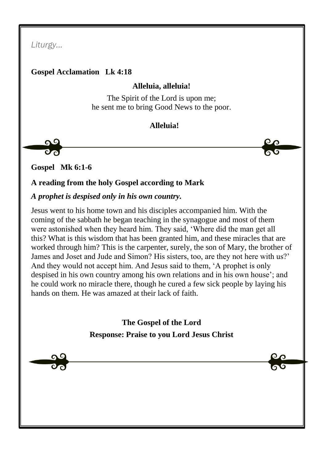*Liturgy…*

### **Gospel Acclamation Lk 4:18**

### **Alleluia, alleluia!**

The Spirit of the Lord is upon me; he sent me to bring Good News to the poor.

### **Alleluia!**

 $\mathbf{\Omega}^{\mathcal{C}}$ 

**Gospel Mk 6:1-6**

### **A reading from the holy Gospel according to Mark**

#### *A prophet is despised only in his own country.*

Jesus went to his home town and his disciples accompanied him. With the coming of the sabbath he began teaching in the synagogue and most of them were astonished when they heard him. They said, 'Where did the man get all this? What is this wisdom that has been granted him, and these miracles that are worked through him? This is the carpenter, surely, the son of Mary, the brother of James and Joset and Jude and Simon? His sisters, too, are they not here with us?' And they would not accept him. And Jesus said to them, 'A prophet is only despised in his own country among his own relations and in his own house'; and he could work no miracle there, though he cured a few sick people by laying his hands on them. He was amazed at their lack of faith.

> **The Gospel of the Lord Response: Praise to you Lord Jesus Christ**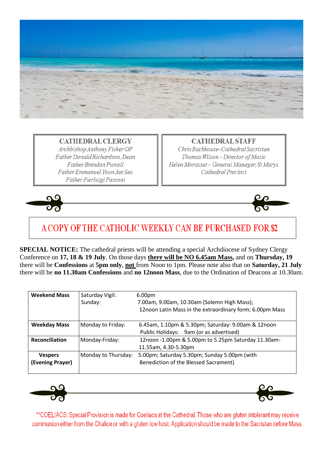

**CATHEDRAL CLERGY** Archbishop Anthony Fisher OP Father Donald Richardson, Dean **Father Brendan Purcell** Father Emmanuel Yoon Jae Seo Father Pierluigi Passoni

**CATHEDRAL STAFF** 

Chris Backhouse-Cathedral Sacristan Thomas Wilson-Director of Music Helen Morassut - General Manager, St Marys Cathedral Precinct





# A COPY OF THE CATHOLIC WEEKLY CAN BE PURCHASED FOR \$2

**SPECIAL NOTICE:** The cathedral priests will be attending a special Archdiocese of Sydney Clergy Conference on **17, 18 & 19 July**. On those days **there will be NO 6.45am Mass,** and on **Thursday, 19** there will be **Confessions** at **5pm only**, **not** from Noon to 1pm. Please note also that on **Saturday, 21 July** there will be **no 11.30am Confessions** and **no 12noon Mass**, due to the Ordination of Deacons at 10.30am.

| <b>Weekend Mass</b>                | Saturday Vigil:<br>Sunday: | 6.00 <sub>pm</sub><br>7.00am, 9.00am, 10.30am (Solemn High Mass);<br>12noon Latin Mass in the extraordinary form; 6.00pm Mass |
|------------------------------------|----------------------------|-------------------------------------------------------------------------------------------------------------------------------|
| <b>Weekday Mass</b>                | Monday to Friday:          | 6.45am, 1.10pm & 5.30pm; Saturday: 9.00am & 12noon<br>Public Holidays: 9am (or as advertised)                                 |
| <b>Reconciliation</b>              | Monday-Friday:             | 12noon -1.00pm & 5.00pm to 5.25pm Saturday 11.30am-<br>11.55am, 4.30-5.30pm                                                   |
| <b>Vespers</b><br>(Evening Prayer) | Monday to Thursday:        | 5.00pm; Saturday 5.30pm; Sunday 5.00pm (with<br>Benediction of the Blessed Sacrament)                                         |



 $\mathbf{C}$ G

\*\*COELIACS: Special Provision is made for Coeliacs at the Cathedral. Those who are gluten intolerant may receive communion either from the Chalice or with a gluten low host. Application should be made to the Sacristan before Mass.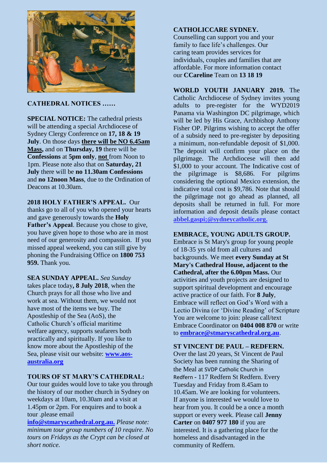

#### **CATHEDRAL NOTICES ……**

**SPECIAL NOTICE:** The cathedral priests will be attending a special Archdiocese of Sydney Clergy Conference on **17, 18 & 19 July**. On those days **there will be NO 6.45am Mass,** and on **Thursday, 19** there will be **Confessions** at **5pm only**, **not** from Noon to 1pm. Please note also that on **Saturday, 21 July** there will be **no 11.30am Confessions** and **no 12noon Mass**, due to the Ordination of Deacons at 10.30am.

#### **2018 HOLY FATHER'S APPEAL.** Our

thanks go to all of you who opened your hearts and gave generously towards the **Holy Father's Appeal**. Because you chose to give, you have given hope to those who are in most need of our generosity and compassion. If you missed appeal weekend, you can still give by phoning the Fundraising Office on **1800 753 959.** Thank you.

**SEA SUNDAY APPEAL.** *Sea Sunday* takes place today**, 8 July 2018**, when the Church prays for all those who live and work at sea. Without them, we would not have most of the items we buy. The Apostleship of the Sea (AoS), the Catholic Church's official maritime welfare agency, supports seafarers both practically and spiritually. If you like to know more about the Apostleship of the Sea, please visit our website: **[www.aos](http://www.aos-australia.org/)[australia.org](http://www.aos-australia.org/)**

#### **TOURS OF ST MARY'S CATHEDRAL:**

Our tour guides would love to take you through the history of our mother church in Sydney on weekdays at 10am, 10.30am and a visit at 1.45pm or 2pm. For enquires and to book a tour .please email

**info@stmaryscathedral.org.au.** *Please note: minimum tour group numbers of 10 require. No tours on Fridays as the Crypt can be closed at short notice.*

#### **CATHOLICCARE SYDNEY.**

Counselling can support you and your family to face life's challenges. Our caring team provides services for individuals, couples and families that are affordable. For more information contact our **CCareline** Team on **13 18 19**

**WORLD YOUTH JANUARY 2019.** The Catholic Archdiocese of Sydney invites young adults to pre-register for the WYD2019 Panama via Washington DC pilgrimage, which will be led by His Grace, Archbishop Anthony Fisher OP. Pilgrims wishing to accept the offer of a subsidy need to pre-register by depositing a minimum, non-refundable deposit of \$1,000. The deposit will confirm your place on the pilgrimage. The Archdiocese will then add \$1,000 to your account. The Indicative cost of the pilgrimage is \$8,686. For pilgrims considering the optional Mexico extension, the indicative total cost is \$9,786. Note that should the pilgrimage not go ahead as planned, all deposits shall be returned in full. For more information and deposit details please contact **abbel.gaspi;@sydneycatholic.org.**

#### **EMBRACE, YOUNG ADULTS GROUP.**

Embrace is St Mary's group for young people of 18-35 yrs old from all cultures and backgrounds. We meet **every Sunday at St Mary's Cathedral House, adjacent to the Cathedral, after the 6.00pm Mass.** Our activities and youth projects are designed to support spiritual development and encourage active practice of our faith. For **8 July**, Embrace will reflect on God's Word with a Lectio Divina (or 'Divine Reading' of Scripture You are welcome to join: please call/text Embrace Coordinator on **0404 008 870** or write to **[embrace@stmaryscathedral.org.au](mailto:embrace@stmaryscathedral.org.au)**.

#### **ST VINCENT DE PAUL – REDFERN.**

Over the last 20 years, St Vincent de Paul Society has been running the Sharing of the Meal at SVDP Catholic Church in Redfern - 117 Redfern St Redfern. Every Tuesday and Friday from 8.45am to 10.45am. We are looking for volunteers. If anyone is interested we would love to hear from you. It could be a once a month support or every week. Please call **Jenny Carter** on **0407 977 180** if you are interested. It is a gathering place for the homeless and disadvantaged in the community of Redfern.